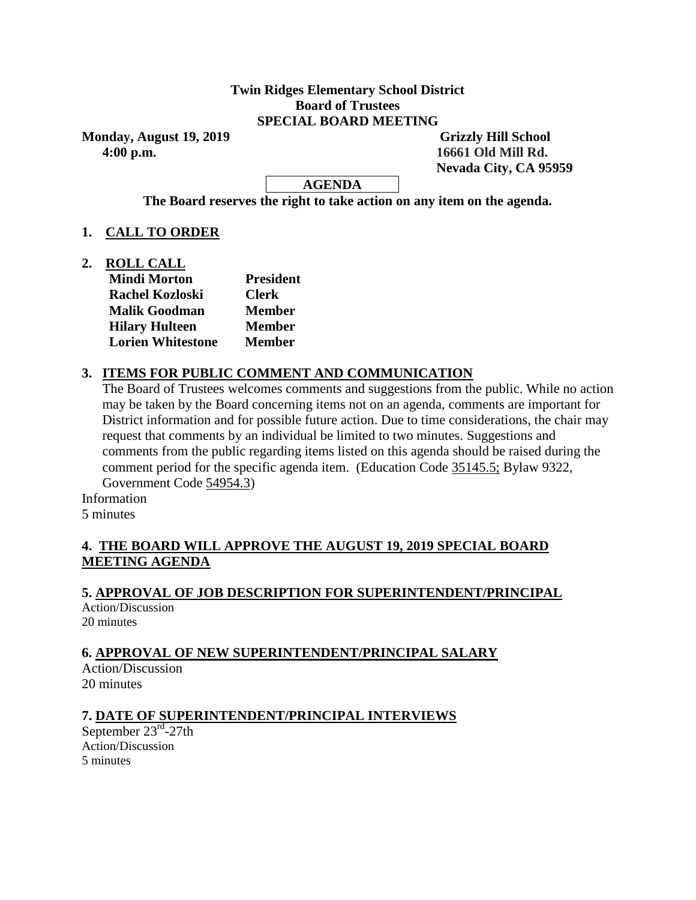#### **Twin Ridges Elementary School District Board of Trustees SPECIAL BOARD MEETING**

**Monday, August 19, 2019** Grizzly Hill School  **4:00 p.m. 16661 Old Mill Rd.**

 **Nevada City, CA 95959**

**AGENDA**

**The Board reserves the right to take action on any item on the agenda.**

# **1. CALL TO ORDER**

**2. ROLL CALL**

| <b>Mindi Morton</b>      | <b>President</b> |
|--------------------------|------------------|
| <b>Rachel Kozloski</b>   | <b>Clerk</b>     |
| <b>Malik Goodman</b>     | <b>Member</b>    |
| <b>Hilary Hulteen</b>    | <b>Member</b>    |
| <b>Lorien Whitestone</b> | <b>Member</b>    |
|                          |                  |

# **3. ITEMS FOR PUBLIC COMMENT AND COMMUNICATION**

The Board of Trustees welcomes comments and suggestions from the public. While no action may be taken by the Board concerning items not on an agenda, comments are important for District information and for possible future action. Due to time considerations, the chair may request that comments by an individual be limited to two minutes. Suggestions and comments from the public regarding items listed on this agenda should be raised during the comment period for the specific agenda item. (Education Code 35145.5; Bylaw 9322, Government Code 54954.3)

Information

5 minutes

# **4. THE BOARD WILL APPROVE THE AUGUST 19, 2019 SPECIAL BOARD MEETING AGENDA**

# **5. APPROVAL OF JOB DESCRIPTION FOR SUPERINTENDENT/PRINCIPAL**

Action/Discussion 20 minutes

# **6. APPROVAL OF NEW SUPERINTENDENT/PRINCIPAL SALARY**

Action/Discussion 20 minutes

# **7. DATE OF SUPERINTENDENT/PRINCIPAL INTERVIEWS**

September 23<sup>rd</sup>-27th Action/Discussion 5 minutes